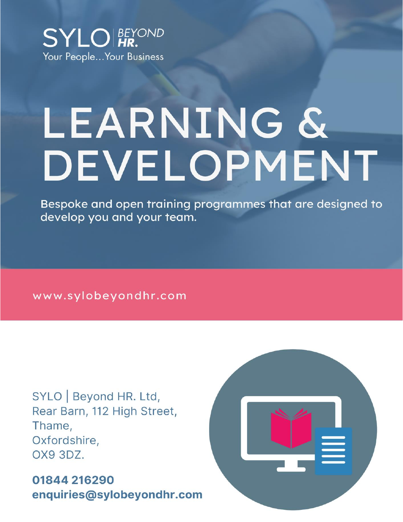

# LEARNING & DEVELOPMENT

Bespoke and open training programmes that are designed to develop you and your team.

www.sylobeyondhr.com

SYLO | Beyond HR. Ltd, Rear Barn, 112 High Street, Thame, Oxfordshire, OX9 3DZ.

01844 216290 enquiries@sylobeyondhr.com

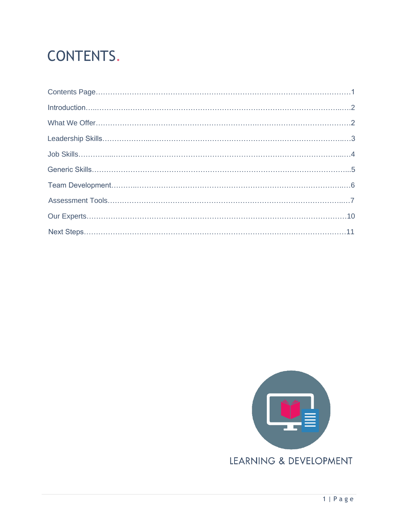# CONTENTS.

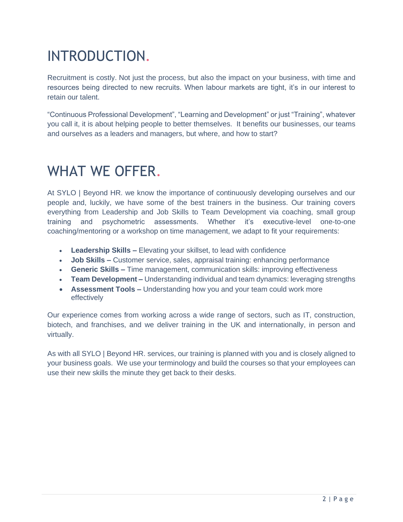# INTRODUCTION.

Recruitment is costly. Not just the process, but also the impact on your business, with time and resources being directed to new recruits. When labour markets are tight, it's in our interest to retain our talent.

"Continuous Professional Development", "Learning and Development" or just "Training", whatever you call it, it is about helping people to better themselves. It benefits our businesses, our teams and ourselves as a leaders and managers, but where, and how to start?

## WHAT WE OFFER.

At SYLO | Beyond HR. we know the importance of continuously developing ourselves and our people and, luckily, we have some of the best trainers in the business. Our training covers everything from Leadership and Job Skills to Team Development via coaching, small group training and psychometric assessments. Whether it's executive-level one-to-one coaching/mentoring or a workshop on time management, we adapt to fit your requirements:

- **Leadership Skills –** Elevating your skillset, to lead with confidence
- **Job Skills –** Customer service, sales, appraisal training: enhancing performance
- **Generic Skills –** Time management, communication skills: improving effectiveness
- **Team Development –** Understanding individual and team dynamics: leveraging strengths
- **Assessment Tools –** Understanding how you and your team could work more effectively

Our experience comes from working across a wide range of sectors, such as IT, construction, biotech, and franchises, and we deliver training in the UK and internationally, in person and virtually.

As with all SYLO | Beyond HR. services, our training is planned with you and is closely aligned to your business goals. We use your terminology and build the courses so that your employees can use their new skills the minute they get back to their desks.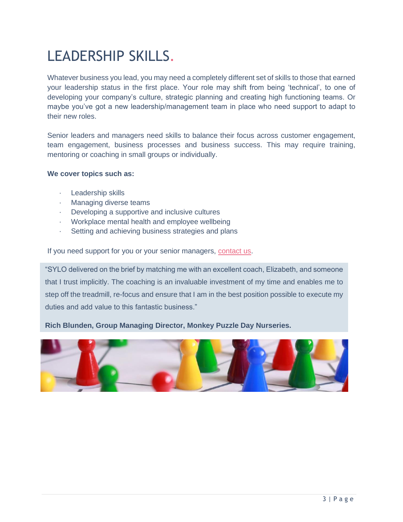# LEADERSHIP SKILLS.

Whatever business you lead, you may need a completely different set of skills to those that earned your leadership status in the first place. Your role may shift from being 'technical', to one of developing your company's culture, strategic planning and creating high functioning teams. Or maybe you've got a new leadership/management team in place who need support to adapt to their new roles.

Senior leaders and managers need skills to balance their focus across customer engagement, team engagement, business processes and business success. This may require training, mentoring or coaching in small groups or individually.

#### **We cover topics such as:**

- · Leadership skills
- · Managing diverse teams
- · Developing a supportive and inclusive cultures
- · Workplace mental health and employee wellbeing
- · Setting and achieving business strategies and plans

If you need support for you or your senior managers, [contact us.](mailto:enquiries@sylo-associates.co.uk)

"SYLO delivered on the brief by matching me with an excellent coach, Elizabeth, and someone that I trust implicitly. The coaching is an invaluable investment of my time and enables me to step off the treadmill, re-focus and ensure that I am in the best position possible to execute my duties and add value to this fantastic business."

#### **Rich Blunden, Group Managing Director, Monkey Puzzle Day Nurseries.**

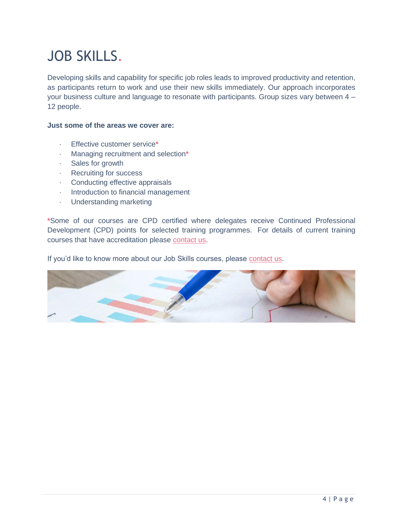# JOB SKILLS.

Developing skills and capability for specific job roles leads to improved productivity and retention, as participants return to work and use their new skills immediately. Our approach incorporates your business culture and language to resonate with participants. Group sizes vary between 4 – 12 people.

#### **Just some of the areas we cover are:**

- · Effective customer service**\***
- · Managing recruitment and selection**\***
- · Sales for growth
- · Recruiting for success
- · Conducting effective appraisals
- · Introduction to financial management
- · Understanding marketing

**\***Some of our courses are CPD certified where delegates receive Continued Professional Development (CPD) points for selected training programmes. For details of current training courses that have accreditation please [contact us.](mailto:enquiries@sylo-associates.co.uk)

If you'd like to know more about our Job Skills courses, please [contact us.](mailto:enquiries@sylo-associates.co.uk)

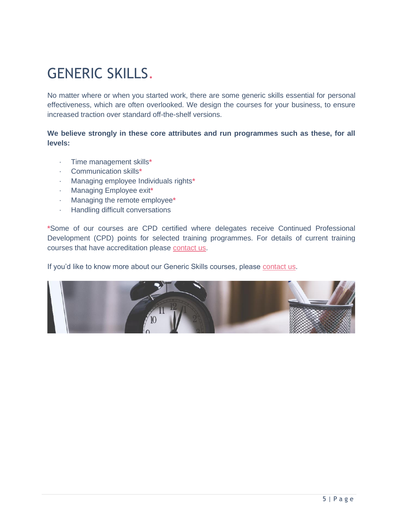# GENERIC SKILLS.

No matter where or when you started work, there are some generic skills essential for personal effectiveness, which are often overlooked. We design the courses for your business, to ensure increased traction over standard off-the-shelf versions.

#### **We believe strongly in these core attributes and run programmes such as these, for all levels:**

- · Time management skills**\***
- · Communication skills**\***
- · Managing employee Individuals rights**\***
- · Managing Employee exit**\***
- · Managing the remote employee**\***
- · Handling difficult conversations

**\***Some of our courses are CPD certified where delegates receive Continued Professional Development (CPD) points for selected training programmes. For details of current training courses that have accreditation please [contact us.](mailto:enquiries@sylo-associates.co.uk)

If you'd like to know more about our Generic Skills courses, please [contact us.](mailto:enquiries@sylo-associates.co.uk)

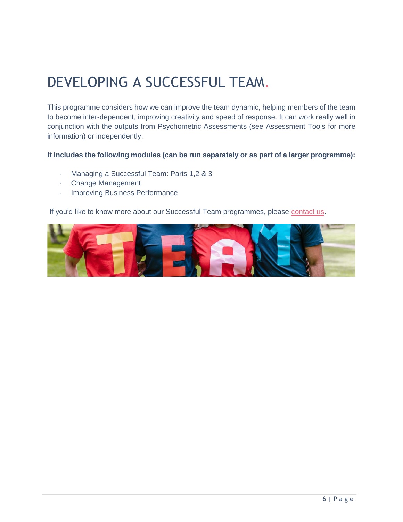# DEVELOPING A SUCCESSFUL TEAM.

This programme considers how we can improve the team dynamic, helping members of the team to become inter-dependent, improving creativity and speed of response. It can work really well in conjunction with the outputs from Psychometric Assessments (see Assessment Tools for more information) or independently.

#### **It includes the following modules (can be run separately or as part of a larger programme):**

- · Managing a Successful Team: Parts 1,2 & 3
- · Change Management
- · Improving Business Performance

If you'd like to know more about our Successful Team programmes, please [contact us.](mailto:enquiries@sylo-associates.co.uk)

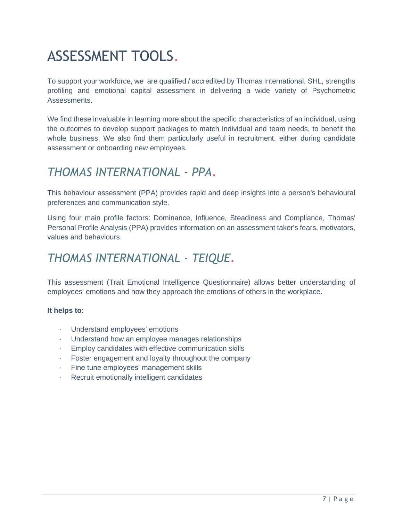# ASSESSMENT TOOLS.

To support your workforce, we are qualified / accredited by Thomas International, SHL, strengths profiling and emotional capital assessment in delivering a wide variety of Psychometric Assessments.

We find these invaluable in learning more about the specific characteristics of an individual, using the outcomes to develop support packages to match individual and team needs, to benefit the whole business. We also find them particularly useful in recruitment, either during candidate assessment or onboarding new employees.

#### *THOMAS INTERNATIONAL - PPA*.

This behaviour assessment (PPA) provides rapid and deep insights into a person's behavioural preferences and communication style.

Using four main profile factors: Dominance, Influence, Steadiness and Compliance, Thomas' Personal Profile Analysis (PPA) provides information on an assessment taker's fears, motivators, values and behaviours.

#### *THOMAS INTERNATIONAL - TEIQUE*.

This assessment (Trait Emotional Intelligence Questionnaire) allows better understanding of employees' emotions and how they approach the emotions of others in the workplace.

#### **It helps to:**

- · Understand employees' emotions
- · Understand how an employee manages relationships
- · Employ candidates with effective communication skills
- Foster engagement and loyalty throughout the company
- · Fine tune employees' management skills
- · Recruit emotionally intelligent candidates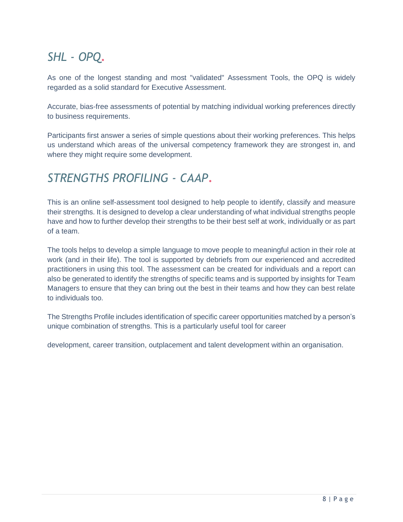## *SHL - OPQ*.

As one of the longest standing and most "validated" Assessment Tools, the OPQ is widely regarded as a solid standard for Executive Assessment.

Accurate, bias-free assessments of potential by matching individual working preferences directly to business requirements.

Participants first answer a series of simple questions about their working preferences. This helps us understand which areas of the universal competency framework they are strongest in, and where they might require some development.

### *STRENGTHS PROFILING - CAAP*.

This is an online self-assessment tool designed to help people to identify, classify and measure their strengths. It is designed to develop a clear understanding of what individual strengths people have and how to further develop their strengths to be their best self at work, individually or as part of a team.

The tools helps to develop a simple language to move people to meaningful action in their role at work (and in their life). The tool is supported by debriefs from our experienced and accredited practitioners in using this tool. The assessment can be created for individuals and a report can also be generated to identify the strengths of specific teams and is supported by insights for Team Managers to ensure that they can bring out the best in their teams and how they can best relate to individuals too.

The Strengths Profile includes identification of specific career opportunities matched by a person's unique combination of strengths. This is a particularly useful tool for career

development, career transition, outplacement and talent development within an organisation.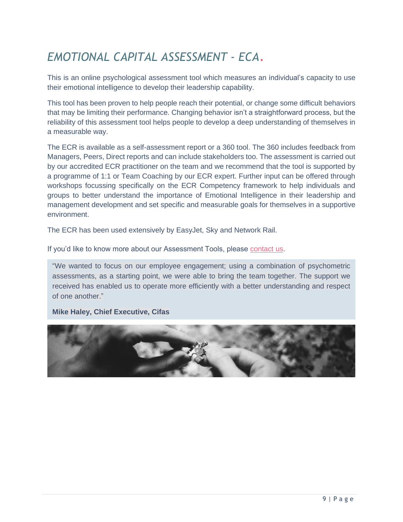## *EMOTIONAL CAPITAL ASSESSMENT - ECA*.

This is an online psychological assessment tool which measures an individual's capacity to use their emotional intelligence to develop their leadership capability.

This tool has been proven to help people reach their potential, or change some difficult behaviors that may be limiting their performance. Changing behavior isn't a straightforward process, but the reliability of this assessment tool helps people to develop a deep understanding of themselves in a measurable way.

The ECR is available as a self-assessment report or a 360 tool. The 360 includes feedback from Managers, Peers, Direct reports and can include stakeholders too. The assessment is carried out by our accredited ECR practitioner on the team and we recommend that the tool is supported by a programme of 1:1 or Team Coaching by our ECR expert. Further input can be offered through workshops focussing specifically on the ECR Competency framework to help individuals and groups to better understand the importance of Emotional Intelligence in their leadership and management development and set specific and measurable goals for themselves in a supportive environment.

The ECR has been used extensively by EasyJet, Sky and Network Rail.

If you'd like to know more about our Assessment Tools, please [contact us.](mailto:enquiries@sylo-associates.co.uk)

"We wanted to focus on our employee engagement; using a combination of psychometric assessments, as a starting point, we were able to bring the team together. The support we received has enabled us to operate more efficiently with a better understanding and respect of one another."

**Mike Haley, Chief Executive, Cifas**

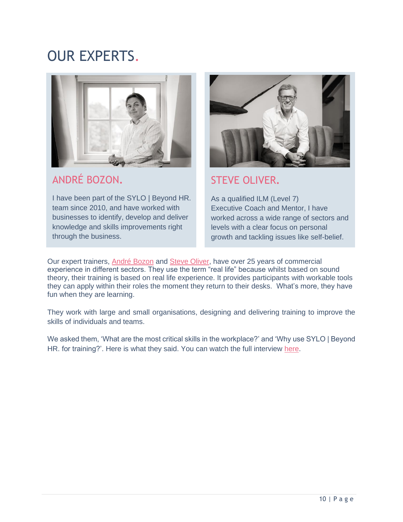## OUR EXPERTS.



#### ANDRÉ BOZON**.**

I have been part of the SYLO | Beyond HR. team since 2010, and have worked with businesses to identify, develop and deliver knowledge and skills improvements right through the business.



#### STEVE OLIVER**.**

As a qualified ILM (Level 7) Executive Coach and Mentor, I have worked across a wide range of sectors and levels with a clear focus on personal growth and tackling issues like self-belief.

Our expert trainers, [André](https://sylobeyondhr.com/team_members/andre-bozon-develop-deliver-knowledge-business-oxfordshire/) Bozon and Steve [Oliver,](https://sylobeyondhr.com/team_members/steve-oliver-training-coaching-business-oxfordshire/) have over 25 years of commercial experience in different sectors. They use the term "real life" because whilst based on sound theory, their training is based on real life experience. It provides participants with workable tools they can apply within their roles the moment they return to their desks. What's more, they have fun when they are learning.

They work with large and small organisations, designing and delivering training to improve the skills of individuals and teams.

We asked them, 'What are the most critical skills in the workplace?' and 'Why use SYLO | Beyond HR. for training?'. Here is what they said. You can watch the full interview [here.](https://www.youtube.com/watch?v=F4hO1G1e9c4&t=1s)